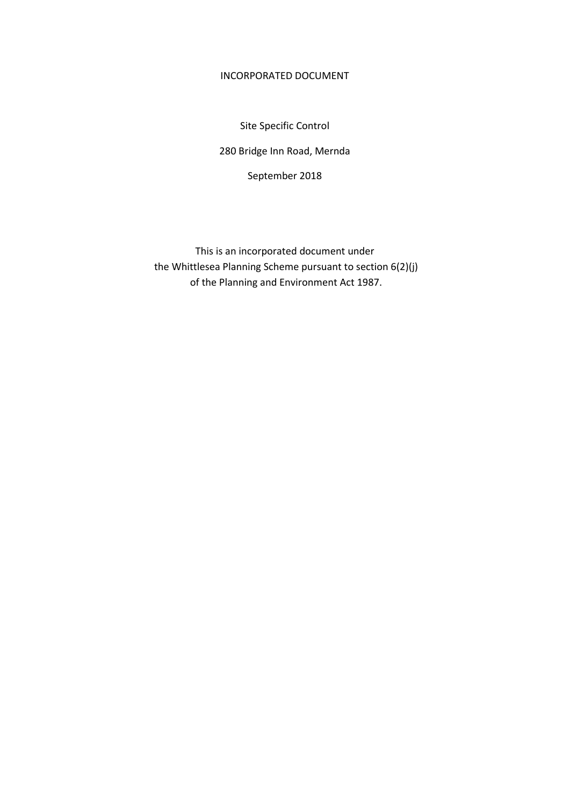### INCORPORATED DOCUMENT

Site Specific Control

280 Bridge Inn Road, Mernda

September 2018

This is an incorporated document under the Whittlesea Planning Scheme pursuant to section 6(2)(j) of the Planning and Environment Act 1987.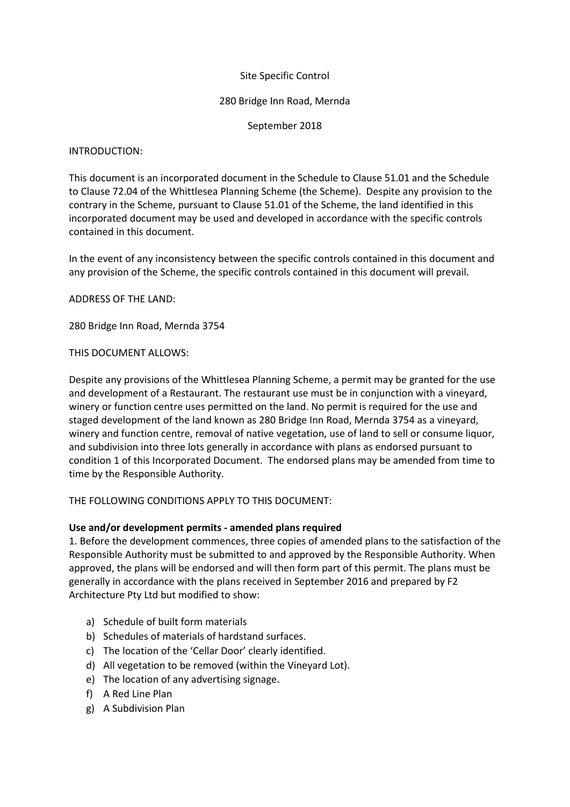# Site Specific Control

### 280 Bridge Inn Road, Mernda

September 2018

#### INTRODUCTION:

This document is an incorporated document in the Schedule to Clause 51.01 and the Schedule to Clause 72.04 of the Whittlesea Planning Scheme (the Scheme). Despite any provision to the contrary in the Scheme, pursuant to Clause 51.01 of the Scheme, the land identified in this incorporated document may be used and developed in accordance with the specific controls contained in this document.

In the event of any inconsistency between the specific controls contained in this document and any provision of the Scheme, the specific controls contained in this document will prevail.

ADDRESS OF THE LAND:

280 Bridge Inn Road, Mernda 3754

## THIS DOCUMENT ALLOWS:

Despite any provisions of the Whittlesea Planning Scheme, a permit may be granted for the use and development of a Restaurant. The restaurant use must be in conjunction with a vineyard, winery or function centre uses permitted on the land. No permit is required for the use and staged development of the land known as 280 Bridge Inn Road, Mernda 3754 as a vineyard, winery and function centre, removal of native vegetation, use of land to sell or consume liquor, and subdivision into three lots generally in accordance with plans as endorsed pursuant to condition 1 of this Incorporated Document. The endorsed plans may be amended from time to time by the Responsible Authority.

## THE FOLLOWING CONDITIONS APPLY TO THIS DOCUMENT:

## **Use and/or development permits - amended plans required**

1. Before the development commences, three copies of amended plans to the satisfaction of the Responsible Authority must be submitted to and approved by the Responsible Authority. When approved, the plans will be endorsed and will then form part of this permit. The plans must be generally in accordance with the plans received in September 2016 and prepared by F2 Architecture Pty Ltd but modified to show:

- a) Schedule of built form materials
- b) Schedules of materials of hardstand surfaces.
- c) The location of the 'Cellar Door' clearly identified.
- d) All vegetation to be removed (within the Vineyard Lot).
- e) The location of any advertising signage.
- f) A Red Line Plan
- g) A Subdivision Plan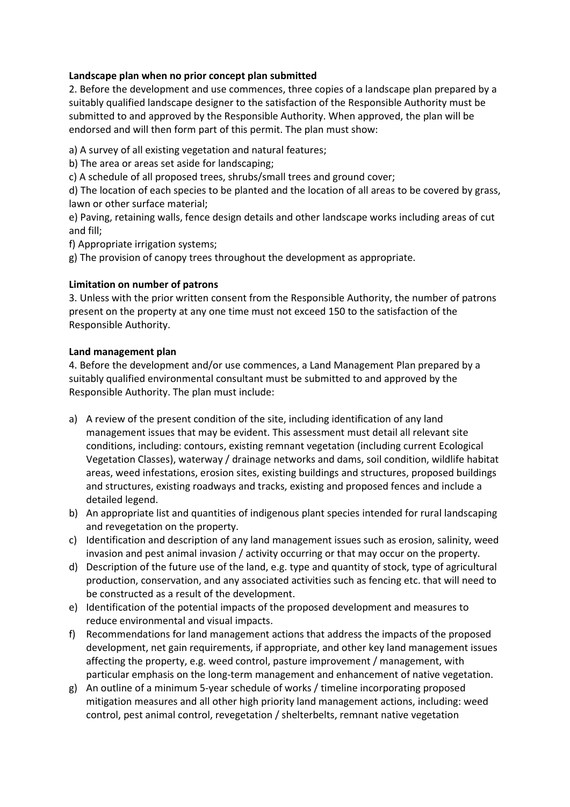# **Landscape plan when no prior concept plan submitted**

2. Before the development and use commences, three copies of a landscape plan prepared by a suitably qualified landscape designer to the satisfaction of the Responsible Authority must be submitted to and approved by the Responsible Authority. When approved, the plan will be endorsed and will then form part of this permit. The plan must show:

a) A survey of all existing vegetation and natural features;

b) The area or areas set aside for landscaping;

c) A schedule of all proposed trees, shrubs/small trees and ground cover;

d) The location of each species to be planted and the location of all areas to be covered by grass, lawn or other surface material;

e) Paving, retaining walls, fence design details and other landscape works including areas of cut and fill;

f) Appropriate irrigation systems;

g) The provision of canopy trees throughout the development as appropriate.

# **Limitation on number of patrons**

3. Unless with the prior written consent from the Responsible Authority, the number of patrons present on the property at any one time must not exceed 150 to the satisfaction of the Responsible Authority.

## **Land management plan**

4. Before the development and/or use commences, a Land Management Plan prepared by a suitably qualified environmental consultant must be submitted to and approved by the Responsible Authority. The plan must include:

- a) A review of the present condition of the site, including identification of any land management issues that may be evident. This assessment must detail all relevant site conditions, including: contours, existing remnant vegetation (including current Ecological Vegetation Classes), waterway / drainage networks and dams, soil condition, wildlife habitat areas, weed infestations, erosion sites, existing buildings and structures, proposed buildings and structures, existing roadways and tracks, existing and proposed fences and include a detailed legend.
- b) An appropriate list and quantities of indigenous plant species intended for rural landscaping and revegetation on the property.
- c) Identification and description of any land management issues such as erosion, salinity, weed invasion and pest animal invasion / activity occurring or that may occur on the property.
- d) Description of the future use of the land, e.g. type and quantity of stock, type of agricultural production, conservation, and any associated activities such as fencing etc. that will need to be constructed as a result of the development.
- e) Identification of the potential impacts of the proposed development and measures to reduce environmental and visual impacts.
- f) Recommendations for land management actions that address the impacts of the proposed development, net gain requirements, if appropriate, and other key land management issues affecting the property, e.g. weed control, pasture improvement / management, with particular emphasis on the long-term management and enhancement of native vegetation.
- g) An outline of a minimum 5-year schedule of works / timeline incorporating proposed mitigation measures and all other high priority land management actions, including: weed control, pest animal control, revegetation / shelterbelts, remnant native vegetation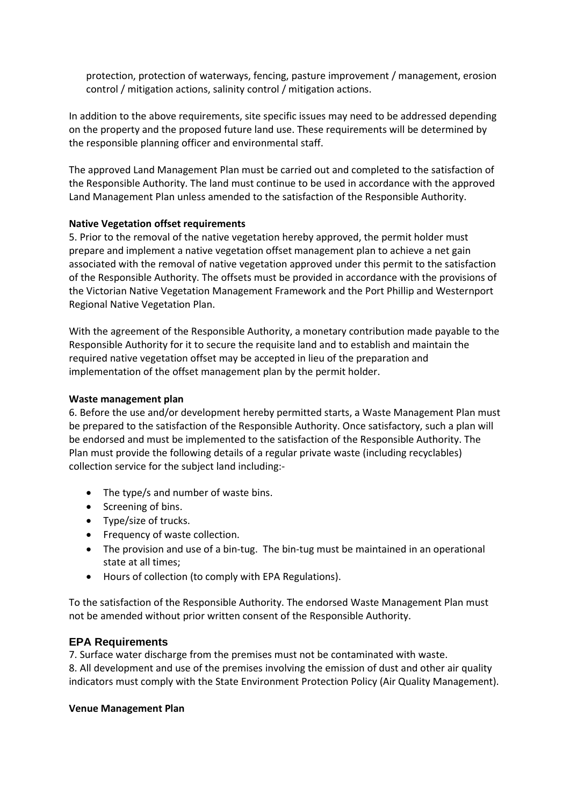protection, protection of waterways, fencing, pasture improvement / management, erosion control / mitigation actions, salinity control / mitigation actions.

In addition to the above requirements, site specific issues may need to be addressed depending on the property and the proposed future land use. These requirements will be determined by the responsible planning officer and environmental staff.

The approved Land Management Plan must be carried out and completed to the satisfaction of the Responsible Authority. The land must continue to be used in accordance with the approved Land Management Plan unless amended to the satisfaction of the Responsible Authority.

#### **Native Vegetation offset requirements**

5. Prior to the removal of the native vegetation hereby approved, the permit holder must prepare and implement a native vegetation offset management plan to achieve a net gain associated with the removal of native vegetation approved under this permit to the satisfaction of the Responsible Authority. The offsets must be provided in accordance with the provisions of the Victorian Native Vegetation Management Framework and the Port Phillip and Westernport Regional Native Vegetation Plan.

With the agreement of the Responsible Authority, a monetary contribution made payable to the Responsible Authority for it to secure the requisite land and to establish and maintain the required native vegetation offset may be accepted in lieu of the preparation and implementation of the offset management plan by the permit holder.

#### **Waste management plan**

6. Before the use and/or development hereby permitted starts, a Waste Management Plan must be prepared to the satisfaction of the Responsible Authority. Once satisfactory, such a plan will be endorsed and must be implemented to the satisfaction of the Responsible Authority. The Plan must provide the following details of a regular private waste (including recyclables) collection service for the subject land including:-

- The type/s and number of waste bins.
- Screening of bins.
- Type/size of trucks.
- Frequency of waste collection.
- The provision and use of a bin-tug. The bin-tug must be maintained in an operational state at all times;
- Hours of collection (to comply with EPA Regulations).

To the satisfaction of the Responsible Authority. The endorsed Waste Management Plan must not be amended without prior written consent of the Responsible Authority.

## **EPA Requirements**

7. Surface water discharge from the premises must not be contaminated with waste.

8. All development and use of the premises involving the emission of dust and other air quality indicators must comply with the State Environment Protection Policy (Air Quality Management).

#### **Venue Management Plan**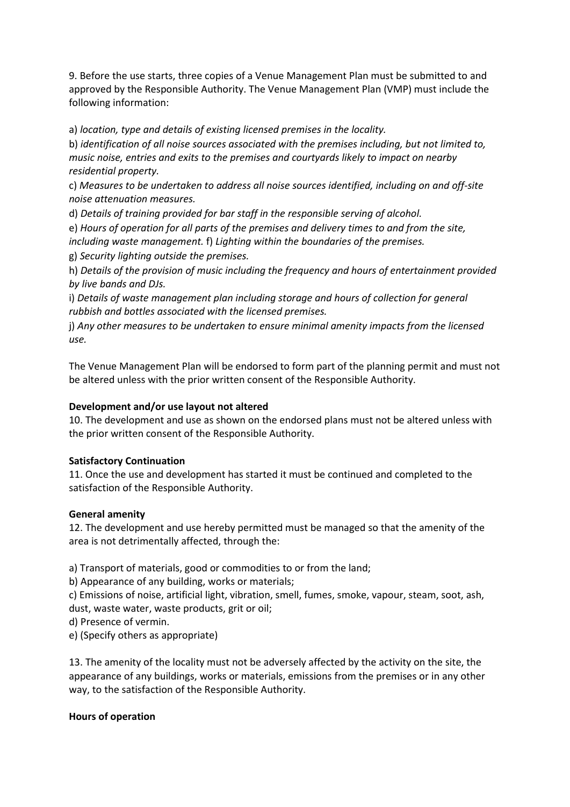9. Before the use starts, three copies of a Venue Management Plan must be submitted to and approved by the Responsible Authority. The Venue Management Plan (VMP) must include the following information:

a) *location, type and details of existing licensed premises in the locality.*

b) *identification of all noise sources associated with the premises including, but not limited to, music noise, entries and exits to the premises and courtyards likely to impact on nearby residential property.*

c) *Measures to be undertaken to address all noise sources identified, including on and off-site noise attenuation measures.*

d) *Details of training provided for bar staff in the responsible serving of alcohol.*

e) *Hours of operation for all parts of the premises and delivery times to and from the site, including waste management.* f) *Lighting within the boundaries of the premises.*

g) *Security lighting outside the premises.*

h) *Details of the provision of music including the frequency and hours of entertainment provided by live bands and DJs.*

i) *Details of waste management plan including storage and hours of collection for general rubbish and bottles associated with the licensed premises.*

j) *Any other measures to be undertaken to ensure minimal amenity impacts from the licensed use.*

The Venue Management Plan will be endorsed to form part of the planning permit and must not be altered unless with the prior written consent of the Responsible Authority.

# **Development and/or use layout not altered**

10. The development and use as shown on the endorsed plans must not be altered unless with the prior written consent of the Responsible Authority.

## **Satisfactory Continuation**

11. Once the use and development has started it must be continued and completed to the satisfaction of the Responsible Authority.

## **General amenity**

12. The development and use hereby permitted must be managed so that the amenity of the area is not detrimentally affected, through the:

a) Transport of materials, good or commodities to or from the land;

b) Appearance of any building, works or materials;

c) Emissions of noise, artificial light, vibration, smell, fumes, smoke, vapour, steam, soot, ash, dust, waste water, waste products, grit or oil;

d) Presence of vermin.

e) (Specify others as appropriate)

13. The amenity of the locality must not be adversely affected by the activity on the site, the appearance of any buildings, works or materials, emissions from the premises or in any other way, to the satisfaction of the Responsible Authority.

## **Hours of operation**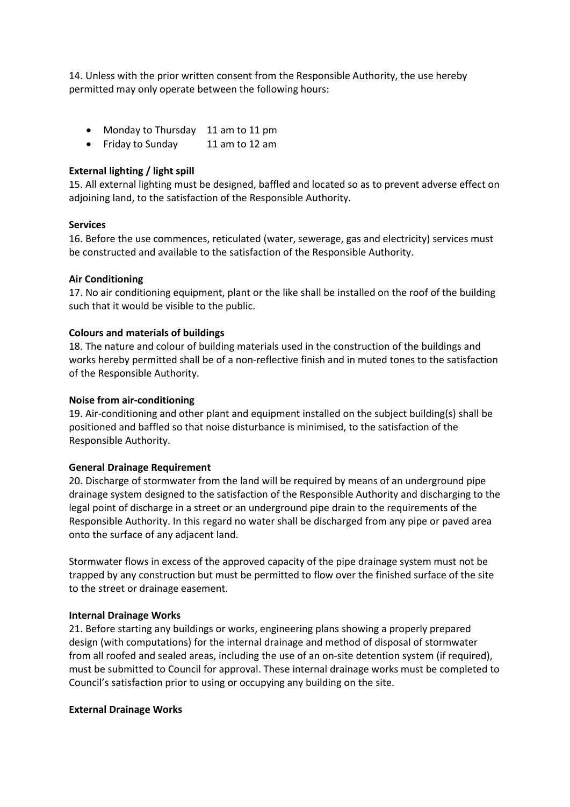14. Unless with the prior written consent from the Responsible Authority, the use hereby permitted may only operate between the following hours:

- Monday to Thursday 11 am to 11 pm
- Friday to Sunday 11 am to 12 am

#### **External lighting / light spill**

15. All external lighting must be designed, baffled and located so as to prevent adverse effect on adjoining land, to the satisfaction of the Responsible Authority.

#### **Services**

16. Before the use commences, reticulated (water, sewerage, gas and electricity) services must be constructed and available to the satisfaction of the Responsible Authority.

#### **Air Conditioning**

17. No air conditioning equipment, plant or the like shall be installed on the roof of the building such that it would be visible to the public.

#### **Colours and materials of buildings**

18. The nature and colour of building materials used in the construction of the buildings and works hereby permitted shall be of a non-reflective finish and in muted tones to the satisfaction of the Responsible Authority.

#### **Noise from air-conditioning**

19. Air-conditioning and other plant and equipment installed on the subject building(s) shall be positioned and baffled so that noise disturbance is minimised, to the satisfaction of the Responsible Authority.

#### **General Drainage Requirement**

20. Discharge of stormwater from the land will be required by means of an underground pipe drainage system designed to the satisfaction of the Responsible Authority and discharging to the legal point of discharge in a street or an underground pipe drain to the requirements of the Responsible Authority. In this regard no water shall be discharged from any pipe or paved area onto the surface of any adjacent land.

Stormwater flows in excess of the approved capacity of the pipe drainage system must not be trapped by any construction but must be permitted to flow over the finished surface of the site to the street or drainage easement.

#### **Internal Drainage Works**

21. Before starting any buildings or works, engineering plans showing a properly prepared design (with computations) for the internal drainage and method of disposal of stormwater from all roofed and sealed areas, including the use of an on-site detention system (if required), must be submitted to Council for approval. These internal drainage works must be completed to Council's satisfaction prior to using or occupying any building on the site.

#### **External Drainage Works**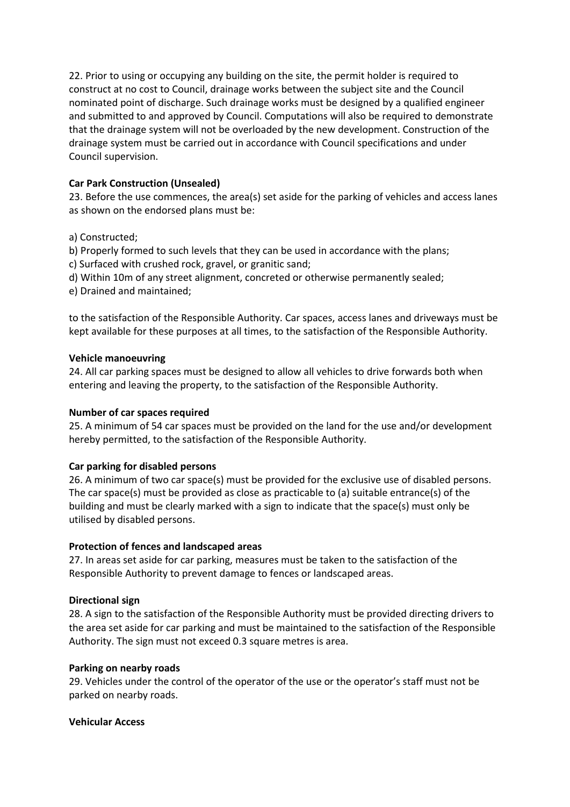22. Prior to using or occupying any building on the site, the permit holder is required to construct at no cost to Council, drainage works between the subject site and the Council nominated point of discharge. Such drainage works must be designed by a qualified engineer and submitted to and approved by Council. Computations will also be required to demonstrate that the drainage system will not be overloaded by the new development. Construction of the drainage system must be carried out in accordance with Council specifications and under Council supervision.

# **Car Park Construction (Unsealed)**

23. Before the use commences, the area(s) set aside for the parking of vehicles and access lanes as shown on the endorsed plans must be:

a) Constructed;

b) Properly formed to such levels that they can be used in accordance with the plans;

c) Surfaced with crushed rock, gravel, or granitic sand;

d) Within 10m of any street alignment, concreted or otherwise permanently sealed;

e) Drained and maintained;

to the satisfaction of the Responsible Authority. Car spaces, access lanes and driveways must be kept available for these purposes at all times, to the satisfaction of the Responsible Authority.

## **Vehicle manoeuvring**

24. All car parking spaces must be designed to allow all vehicles to drive forwards both when entering and leaving the property, to the satisfaction of the Responsible Authority.

## **Number of car spaces required**

25. A minimum of 54 car spaces must be provided on the land for the use and/or development hereby permitted, to the satisfaction of the Responsible Authority.

## **Car parking for disabled persons**

26. A minimum of two car space(s) must be provided for the exclusive use of disabled persons. The car space(s) must be provided as close as practicable to (a) suitable entrance(s) of the building and must be clearly marked with a sign to indicate that the space(s) must only be utilised by disabled persons.

## **Protection of fences and landscaped areas**

27. In areas set aside for car parking, measures must be taken to the satisfaction of the Responsible Authority to prevent damage to fences or landscaped areas.

## **Directional sign**

28. A sign to the satisfaction of the Responsible Authority must be provided directing drivers to the area set aside for car parking and must be maintained to the satisfaction of the Responsible Authority. The sign must not exceed 0.3 square metres is area.

## **Parking on nearby roads**

29. Vehicles under the control of the operator of the use or the operator's staff must not be parked on nearby roads.

## **Vehicular Access**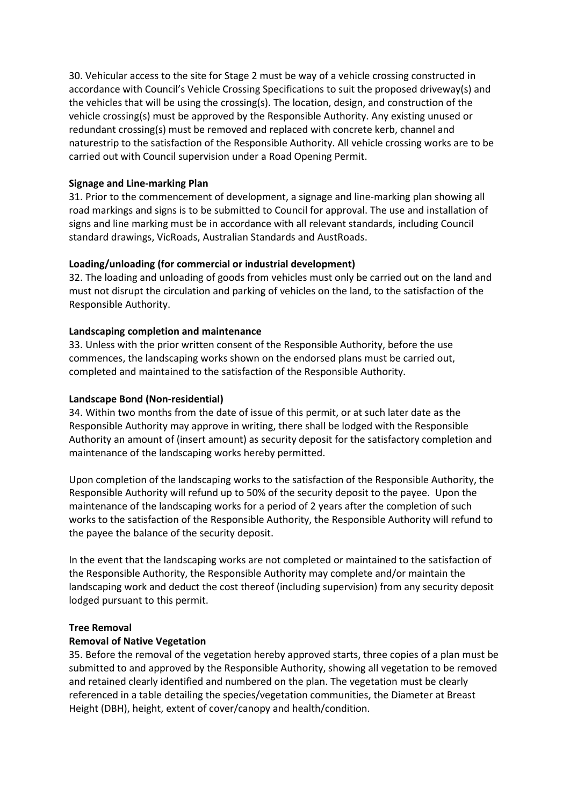30. Vehicular access to the site for Stage 2 must be way of a vehicle crossing constructed in accordance with Council's Vehicle Crossing Specifications to suit the proposed driveway(s) and the vehicles that will be using the crossing(s). The location, design, and construction of the vehicle crossing(s) must be approved by the Responsible Authority. Any existing unused or redundant crossing(s) must be removed and replaced with concrete kerb, channel and naturestrip to the satisfaction of the Responsible Authority. All vehicle crossing works are to be carried out with Council supervision under a Road Opening Permit.

## **Signage and Line-marking Plan**

31. Prior to the commencement of development, a signage and line-marking plan showing all road markings and signs is to be submitted to Council for approval. The use and installation of signs and line marking must be in accordance with all relevant standards, including Council standard drawings, VicRoads, Australian Standards and AustRoads.

# **Loading/unloading (for commercial or industrial development)**

32. The loading and unloading of goods from vehicles must only be carried out on the land and must not disrupt the circulation and parking of vehicles on the land, to the satisfaction of the Responsible Authority.

# **Landscaping completion and maintenance**

33. Unless with the prior written consent of the Responsible Authority, before the use commences, the landscaping works shown on the endorsed plans must be carried out, completed and maintained to the satisfaction of the Responsible Authority.

# **Landscape Bond (Non-residential)**

34. Within two months from the date of issue of this permit, or at such later date as the Responsible Authority may approve in writing, there shall be lodged with the Responsible Authority an amount of (insert amount) as security deposit for the satisfactory completion and maintenance of the landscaping works hereby permitted.

Upon completion of the landscaping works to the satisfaction of the Responsible Authority, the Responsible Authority will refund up to 50% of the security deposit to the payee. Upon the maintenance of the landscaping works for a period of 2 years after the completion of such works to the satisfaction of the Responsible Authority, the Responsible Authority will refund to the payee the balance of the security deposit.

In the event that the landscaping works are not completed or maintained to the satisfaction of the Responsible Authority, the Responsible Authority may complete and/or maintain the landscaping work and deduct the cost thereof (including supervision) from any security deposit lodged pursuant to this permit.

## **Tree Removal**

## **Removal of Native Vegetation**

35. Before the removal of the vegetation hereby approved starts, three copies of a plan must be submitted to and approved by the Responsible Authority, showing all vegetation to be removed and retained clearly identified and numbered on the plan. The vegetation must be clearly referenced in a table detailing the species/vegetation communities, the Diameter at Breast Height (DBH), height, extent of cover/canopy and health/condition.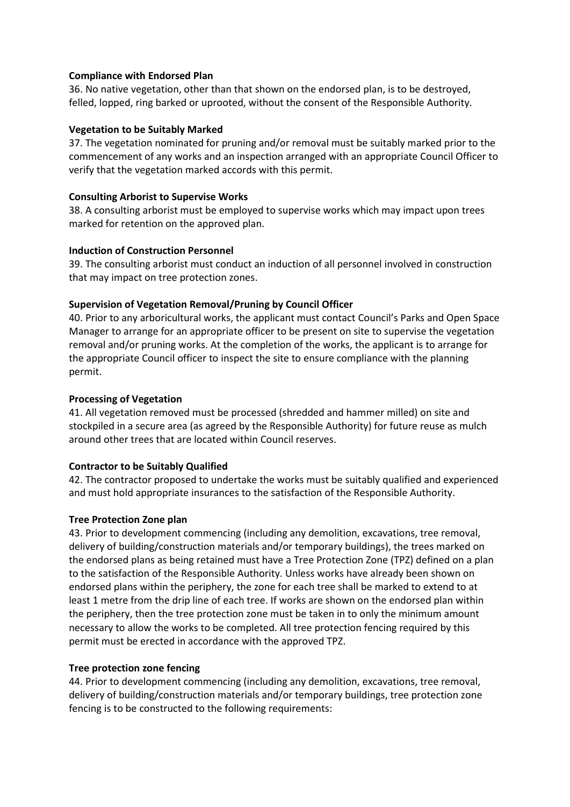#### **Compliance with Endorsed Plan**

36. No native vegetation, other than that shown on the endorsed plan, is to be destroyed, felled, lopped, ring barked or uprooted, without the consent of the Responsible Authority.

### **Vegetation to be Suitably Marked**

37. The vegetation nominated for pruning and/or removal must be suitably marked prior to the commencement of any works and an inspection arranged with an appropriate Council Officer to verify that the vegetation marked accords with this permit.

#### **Consulting Arborist to Supervise Works**

38. A consulting arborist must be employed to supervise works which may impact upon trees marked for retention on the approved plan.

#### **Induction of Construction Personnel**

39. The consulting arborist must conduct an induction of all personnel involved in construction that may impact on tree protection zones.

#### **Supervision of Vegetation Removal/Pruning by Council Officer**

40. Prior to any arboricultural works, the applicant must contact Council's Parks and Open Space Manager to arrange for an appropriate officer to be present on site to supervise the vegetation removal and/or pruning works. At the completion of the works, the applicant is to arrange for the appropriate Council officer to inspect the site to ensure compliance with the planning permit.

### **Processing of Vegetation**

41. All vegetation removed must be processed (shredded and hammer milled) on site and stockpiled in a secure area (as agreed by the Responsible Authority) for future reuse as mulch around other trees that are located within Council reserves.

## **Contractor to be Suitably Qualified**

42. The contractor proposed to undertake the works must be suitably qualified and experienced and must hold appropriate insurances to the satisfaction of the Responsible Authority.

## **Tree Protection Zone plan**

43. Prior to development commencing (including any demolition, excavations, tree removal, delivery of building/construction materials and/or temporary buildings), the trees marked on the endorsed plans as being retained must have a Tree Protection Zone (TPZ) defined on a plan to the satisfaction of the Responsible Authority. Unless works have already been shown on endorsed plans within the periphery, the zone for each tree shall be marked to extend to at least 1 metre from the drip line of each tree. If works are shown on the endorsed plan within the periphery, then the tree protection zone must be taken in to only the minimum amount necessary to allow the works to be completed. All tree protection fencing required by this permit must be erected in accordance with the approved TPZ.

## **Tree protection zone fencing**

44. Prior to development commencing (including any demolition, excavations, tree removal, delivery of building/construction materials and/or temporary buildings, tree protection zone fencing is to be constructed to the following requirements: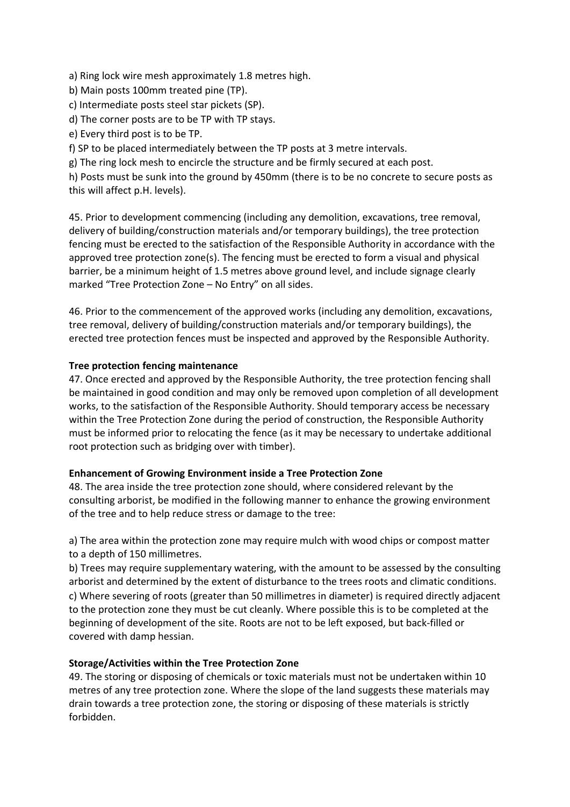a) Ring lock wire mesh approximately 1.8 metres high.

- b) Main posts 100mm treated pine (TP).
- c) Intermediate posts steel star pickets (SP).
- d) The corner posts are to be TP with TP stays.

e) Every third post is to be TP.

f) SP to be placed intermediately between the TP posts at 3 metre intervals.

g) The ring lock mesh to encircle the structure and be firmly secured at each post.

h) Posts must be sunk into the ground by 450mm (there is to be no concrete to secure posts as this will affect p.H. levels).

45. Prior to development commencing (including any demolition, excavations, tree removal, delivery of building/construction materials and/or temporary buildings), the tree protection fencing must be erected to the satisfaction of the Responsible Authority in accordance with the approved tree protection zone(s). The fencing must be erected to form a visual and physical barrier, be a minimum height of 1.5 metres above ground level, and include signage clearly marked "Tree Protection Zone – No Entry" on all sides.

46. Prior to the commencement of the approved works (including any demolition, excavations, tree removal, delivery of building/construction materials and/or temporary buildings), the erected tree protection fences must be inspected and approved by the Responsible Authority.

# **Tree protection fencing maintenance**

47. Once erected and approved by the Responsible Authority, the tree protection fencing shall be maintained in good condition and may only be removed upon completion of all development works, to the satisfaction of the Responsible Authority. Should temporary access be necessary within the Tree Protection Zone during the period of construction, the Responsible Authority must be informed prior to relocating the fence (as it may be necessary to undertake additional root protection such as bridging over with timber).

## **Enhancement of Growing Environment inside a Tree Protection Zone**

48. The area inside the tree protection zone should, where considered relevant by the consulting arborist, be modified in the following manner to enhance the growing environment of the tree and to help reduce stress or damage to the tree:

a) The area within the protection zone may require mulch with wood chips or compost matter to a depth of 150 millimetres.

b) Trees may require supplementary watering, with the amount to be assessed by the consulting arborist and determined by the extent of disturbance to the trees roots and climatic conditions. c) Where severing of roots (greater than 50 millimetres in diameter) is required directly adjacent to the protection zone they must be cut cleanly. Where possible this is to be completed at the beginning of development of the site. Roots are not to be left exposed, but back-filled or covered with damp hessian.

## **Storage/Activities within the Tree Protection Zone**

49. The storing or disposing of chemicals or toxic materials must not be undertaken within 10 metres of any tree protection zone. Where the slope of the land suggests these materials may drain towards a tree protection zone, the storing or disposing of these materials is strictly forbidden.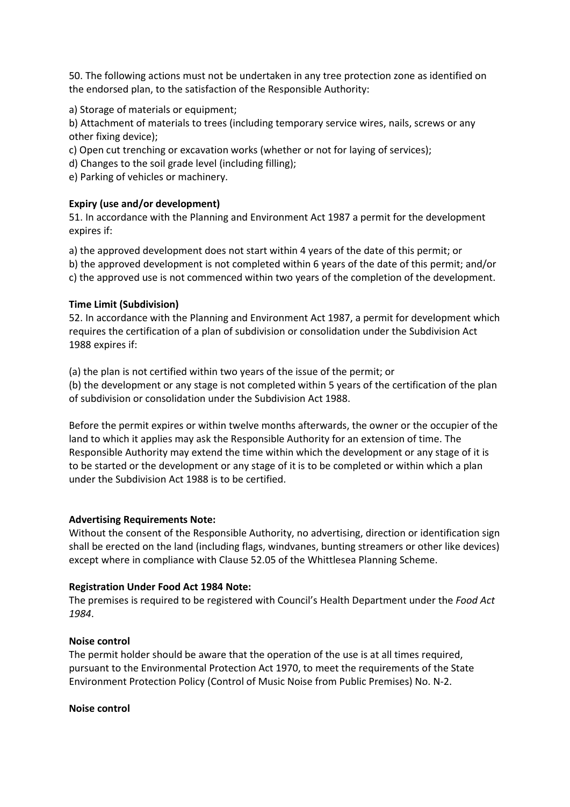50. The following actions must not be undertaken in any tree protection zone as identified on the endorsed plan, to the satisfaction of the Responsible Authority:

a) Storage of materials or equipment;

b) Attachment of materials to trees (including temporary service wires, nails, screws or any other fixing device);

c) Open cut trenching or excavation works (whether or not for laying of services);

d) Changes to the soil grade level (including filling);

e) Parking of vehicles or machinery.

#### **Expiry (use and/or development)**

51. In accordance with the Planning and Environment Act 1987 a permit for the development expires if:

a) the approved development does not start within 4 years of the date of this permit; or

b) the approved development is not completed within 6 years of the date of this permit; and/or

c) the approved use is not commenced within two years of the completion of the development.

#### **Time Limit (Subdivision)**

52. In accordance with the Planning and Environment Act 1987, a permit for development which requires the certification of a plan of subdivision or consolidation under the Subdivision Act 1988 expires if:

(a) the plan is not certified within two years of the issue of the permit; or

(b) the development or any stage is not completed within 5 years of the certification of the plan of subdivision or consolidation under the Subdivision Act 1988.

Before the permit expires or within twelve months afterwards, the owner or the occupier of the land to which it applies may ask the Responsible Authority for an extension of time. The Responsible Authority may extend the time within which the development or any stage of it is to be started or the development or any stage of it is to be completed or within which a plan under the Subdivision Act 1988 is to be certified.

#### **Advertising Requirements Note:**

Without the consent of the Responsible Authority, no advertising, direction or identification sign shall be erected on the land (including flags, windvanes, bunting streamers or other like devices) except where in compliance with Clause 52.05 of the Whittlesea Planning Scheme.

#### **Registration Under Food Act 1984 Note:**

The premises is required to be registered with Council's Health Department under the *Food Act 1984*.

#### **Noise control**

The permit holder should be aware that the operation of the use is at all times required, pursuant to the Environmental Protection Act 1970, to meet the requirements of the State Environment Protection Policy (Control of Music Noise from Public Premises) No. N-2.

#### **Noise control**